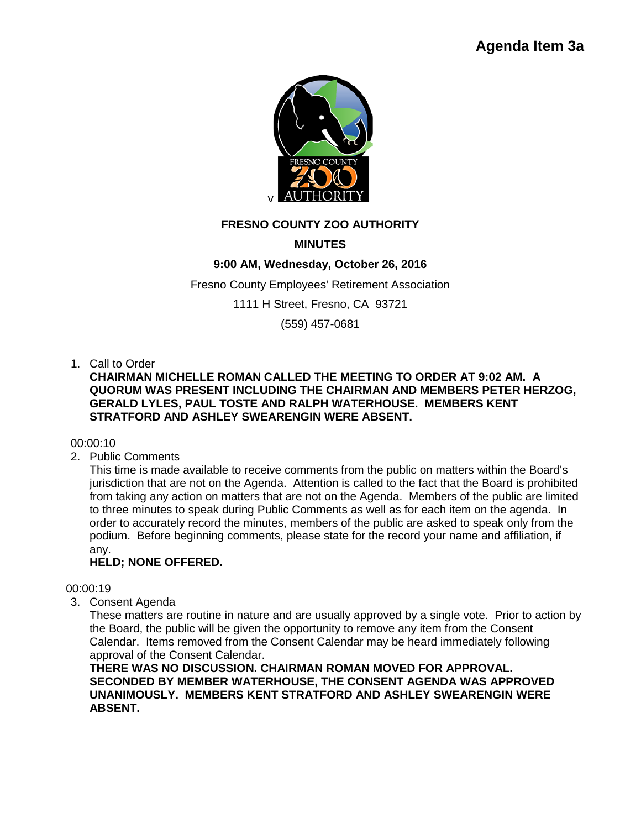

## **FRESNO COUNTY ZOO AUTHORITY**

# **MINUTES**

## **9:00 AM, Wednesday, October 26, 2016**

Fresno County Employees' Retirement Association

1111 H Street, Fresno, CA 93721

(559) 457-0681

### 1. Call to Order

**CHAIRMAN MICHELLE ROMAN CALLED THE MEETING TO ORDER AT 9:02 AM. A QUORUM WAS PRESENT INCLUDING THE CHAIRMAN AND MEMBERS PETER HERZOG, GERALD LYLES, PAUL TOSTE AND RALPH WATERHOUSE. MEMBERS KENT STRATFORD AND ASHLEY SWEARENGIN WERE ABSENT.** 

### 00:00:10

2. Public Comments

This time is made available to receive comments from the public on matters within the Board's jurisdiction that are not on the Agenda. Attention is called to the fact that the Board is prohibited from taking any action on matters that are not on the Agenda. Members of the public are limited to three minutes to speak during Public Comments as well as for each item on the agenda. In order to accurately record the minutes, members of the public are asked to speak only from the podium. Before beginning comments, please state for the record your name and affiliation, if any.

## **HELD; NONE OFFERED.**

### 00:00:19

3. Consent Agenda

These matters are routine in nature and are usually approved by a single vote. Prior to action by the Board, the public will be given the opportunity to remove any item from the Consent Calendar. Items removed from the Consent Calendar may be heard immediately following approval of the Consent Calendar.

**THERE WAS NO DISCUSSION. CHAIRMAN ROMAN MOVED FOR APPROVAL. SECONDED BY MEMBER WATERHOUSE, THE CONSENT AGENDA WAS APPROVED UNANIMOUSLY. MEMBERS KENT STRATFORD AND ASHLEY SWEARENGIN WERE ABSENT.**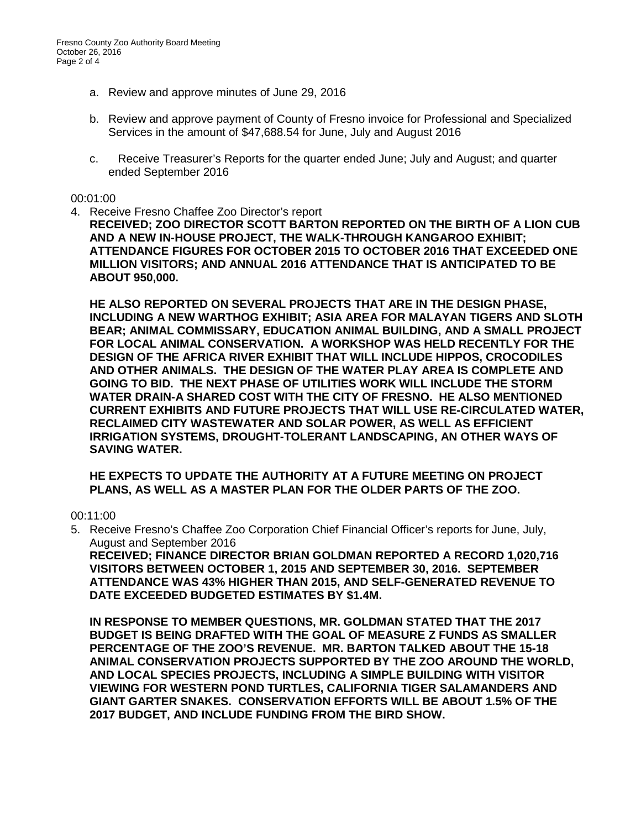- a. Review and approve minutes of June 29, 2016
- b. Review and approve payment of County of Fresno invoice for Professional and Specialized Services in the amount of \$47,688.54 for June, July and August 2016
- c. Receive Treasurer's Reports for the quarter ended June; July and August; and quarter ended September 2016

#### 00:01:00

4. Receive Fresno Chaffee Zoo Director's report

**RECEIVED; ZOO DIRECTOR SCOTT BARTON REPORTED ON THE BIRTH OF A LION CUB AND A NEW IN-HOUSE PROJECT, THE WALK-THROUGH KANGAROO EXHIBIT; ATTENDANCE FIGURES FOR OCTOBER 2015 TO OCTOBER 2016 THAT EXCEEDED ONE MILLION VISITORS; AND ANNUAL 2016 ATTENDANCE THAT IS ANTICIPATED TO BE ABOUT 950,000.** 

**HE ALSO REPORTED ON SEVERAL PROJECTS THAT ARE IN THE DESIGN PHASE, INCLUDING A NEW WARTHOG EXHIBIT; ASIA AREA FOR MALAYAN TIGERS AND SLOTH BEAR; ANIMAL COMMISSARY, EDUCATION ANIMAL BUILDING, AND A SMALL PROJECT FOR LOCAL ANIMAL CONSERVATION. A WORKSHOP WAS HELD RECENTLY FOR THE DESIGN OF THE AFRICA RIVER EXHIBIT THAT WILL INCLUDE HIPPOS, CROCODILES AND OTHER ANIMALS. THE DESIGN OF THE WATER PLAY AREA IS COMPLETE AND GOING TO BID. THE NEXT PHASE OF UTILITIES WORK WILL INCLUDE THE STORM WATER DRAIN-A SHARED COST WITH THE CITY OF FRESNO. HE ALSO MENTIONED CURRENT EXHIBITS AND FUTURE PROJECTS THAT WILL USE RE-CIRCULATED WATER, RECLAIMED CITY WASTEWATER AND SOLAR POWER, AS WELL AS EFFICIENT IRRIGATION SYSTEMS, DROUGHT-TOLERANT LANDSCAPING, AN OTHER WAYS OF SAVING WATER.** 

**HE EXPECTS TO UPDATE THE AUTHORITY AT A FUTURE MEETING ON PROJECT PLANS, AS WELL AS A MASTER PLAN FOR THE OLDER PARTS OF THE ZOO.**

00:11:00

5. Receive Fresno's Chaffee Zoo Corporation Chief Financial Officer's reports for June, July, August and September 2016

**RECEIVED; FINANCE DIRECTOR BRIAN GOLDMAN REPORTED A RECORD 1,020,716 VISITORS BETWEEN OCTOBER 1, 2015 AND SEPTEMBER 30, 2016. SEPTEMBER ATTENDANCE WAS 43% HIGHER THAN 2015, AND SELF-GENERATED REVENUE TO DATE EXCEEDED BUDGETED ESTIMATES BY \$1.4M.** 

**IN RESPONSE TO MEMBER QUESTIONS, MR. GOLDMAN STATED THAT THE 2017 BUDGET IS BEING DRAFTED WITH THE GOAL OF MEASURE Z FUNDS AS SMALLER PERCENTAGE OF THE ZOO'S REVENUE. MR. BARTON TALKED ABOUT THE 15-18 ANIMAL CONSERVATION PROJECTS SUPPORTED BY THE ZOO AROUND THE WORLD, AND LOCAL SPECIES PROJECTS, INCLUDING A SIMPLE BUILDING WITH VISITOR VIEWING FOR WESTERN POND TURTLES, CALIFORNIA TIGER SALAMANDERS AND GIANT GARTER SNAKES. CONSERVATION EFFORTS WILL BE ABOUT 1.5% OF THE 2017 BUDGET, AND INCLUDE FUNDING FROM THE BIRD SHOW.**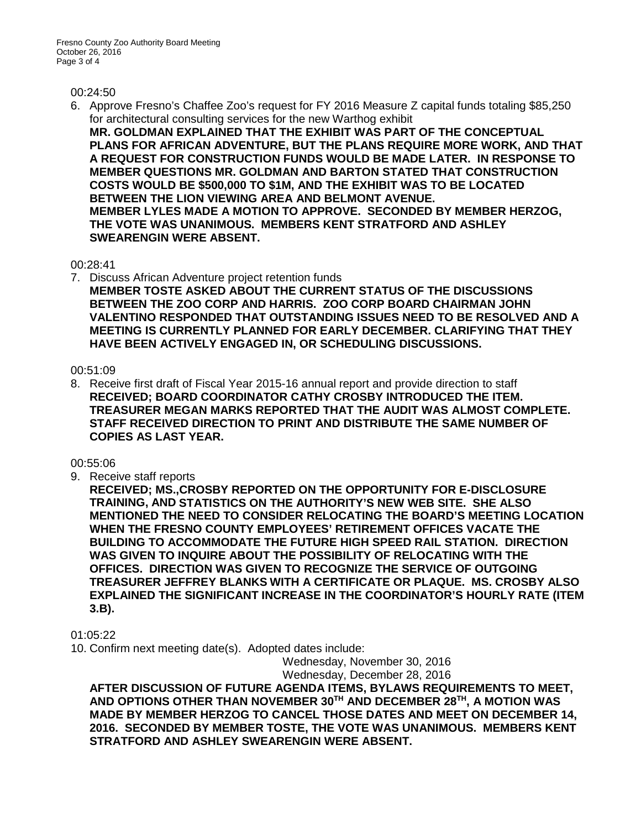#### 00:24:50

6. Approve Fresno's Chaffee Zoo's request for FY 2016 Measure Z capital funds totaling \$85,250 for architectural consulting services for the new Warthog exhibit **MR. GOLDMAN EXPLAINED THAT THE EXHIBIT WAS PART OF THE CONCEPTUAL PLANS FOR AFRICAN ADVENTURE, BUT THE PLANS REQUIRE MORE WORK, AND THAT A REQUEST FOR CONSTRUCTION FUNDS WOULD BE MADE LATER. IN RESPONSE TO MEMBER QUESTIONS MR. GOLDMAN AND BARTON STATED THAT CONSTRUCTION COSTS WOULD BE \$500,000 TO \$1M, AND THE EXHIBIT WAS TO BE LOCATED BETWEEN THE LION VIEWING AREA AND BELMONT AVENUE. MEMBER LYLES MADE A MOTION TO APPROVE. SECONDED BY MEMBER HERZOG, THE VOTE WAS UNANIMOUS. MEMBERS KENT STRATFORD AND ASHLEY SWEARENGIN WERE ABSENT.** 

#### 00:28:41

7. Discuss African Adventure project retention funds **MEMBER TOSTE ASKED ABOUT THE CURRENT STATUS OF THE DISCUSSIONS BETWEEN THE ZOO CORP AND HARRIS. ZOO CORP BOARD CHAIRMAN JOHN VALENTINO RESPONDED THAT OUTSTANDING ISSUES NEED TO BE RESOLVED AND A MEETING IS CURRENTLY PLANNED FOR EARLY DECEMBER. CLARIFYING THAT THEY HAVE BEEN ACTIVELY ENGAGED IN, OR SCHEDULING DISCUSSIONS.**

#### 00:51:09

8. Receive first draft of Fiscal Year 2015-16 annual report and provide direction to staff **RECEIVED; BOARD COORDINATOR CATHY CROSBY INTRODUCED THE ITEM. TREASURER MEGAN MARKS REPORTED THAT THE AUDIT WAS ALMOST COMPLETE. STAFF RECEIVED DIRECTION TO PRINT AND DISTRIBUTE THE SAME NUMBER OF COPIES AS LAST YEAR.**

00:55:06

9. Receive staff reports

**RECEIVED; MS.,CROSBY REPORTED ON THE OPPORTUNITY FOR E-DISCLOSURE TRAINING, AND STATISTICS ON THE AUTHORITY'S NEW WEB SITE. SHE ALSO MENTIONED THE NEED TO CONSIDER RELOCATING THE BOARD'S MEETING LOCATION WHEN THE FRESNO COUNTY EMPLOYEES' RETIREMENT OFFICES VACATE THE BUILDING TO ACCOMMODATE THE FUTURE HIGH SPEED RAIL STATION. DIRECTION WAS GIVEN TO INQUIRE ABOUT THE POSSIBILITY OF RELOCATING WITH THE OFFICES. DIRECTION WAS GIVEN TO RECOGNIZE THE SERVICE OF OUTGOING TREASURER JEFFREY BLANKS WITH A CERTIFICATE OR PLAQUE. MS. CROSBY ALSO EXPLAINED THE SIGNIFICANT INCREASE IN THE COORDINATOR'S HOURLY RATE (ITEM 3.B).**

01:05:22

10. Confirm next meeting date(s). Adopted dates include:

Wednesday, November 30, 2016 Wednesday, December 28, 2016

**AFTER DISCUSSION OF FUTURE AGENDA ITEMS, BYLAWS REQUIREMENTS TO MEET, AND OPTIONS OTHER THAN NOVEMBER 30TH AND DECEMBER 28TH, A MOTION WAS MADE BY MEMBER HERZOG TO CANCEL THOSE DATES AND MEET ON DECEMBER 14, 2016. SECONDED BY MEMBER TOSTE, THE VOTE WAS UNANIMOUS. MEMBERS KENT STRATFORD AND ASHLEY SWEARENGIN WERE ABSENT.**